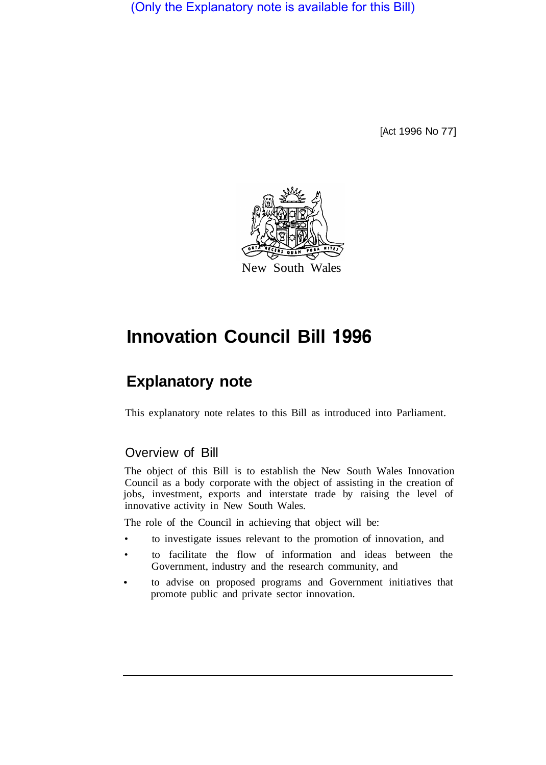(Only the Explanatory note is available for this Bill)

[Act 1996 No 77]



# **Innovation Council Bill 1996**

## **Explanatory note**

This explanatory note relates to this Bill as introduced into Parliament.

### Overview of Bill

The object of this Bill is to establish the New South Wales Innovation Council as a body corporate with the object of assisting in the creation of jobs, investment, exports and interstate trade by raising the level of innovative activity in New South Wales.

The role of the Council in achieving that object will be:

- to investigate issues relevant to the promotion of innovation, and
- to facilitate the flow of information and ideas between the Government, industry and the research community, and
- promote public and private sector innovation. to advise on proposed programs and Government initiatives that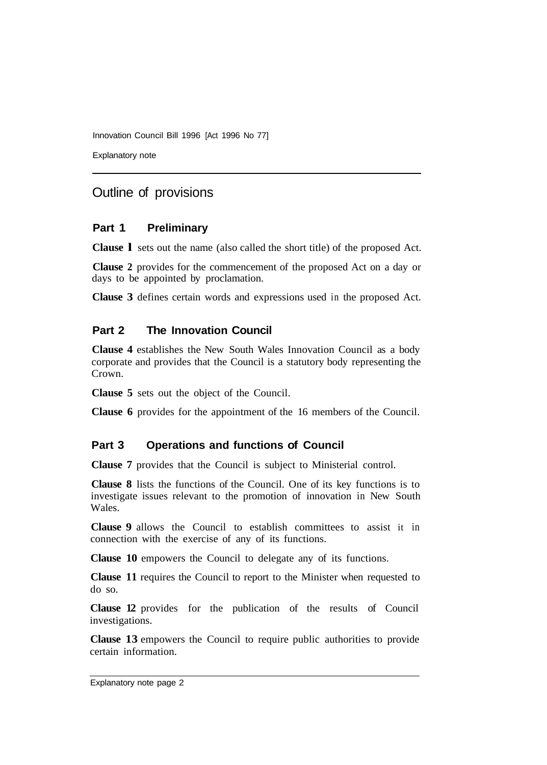Innovation Council Bill 1996 [Act 1996 No 77]

Explanatory note

## Outline of provisions

#### **Part 1 Preliminary**

**Clause l** sets out the name (also called the short title) of the proposed Act.

**Clause 2** provides for the commencement of the proposed Act on a day or days to be appointed by proclamation.

**Clause 3** defines certain words and expressions used in the proposed Act.

#### **Part 2 The Innovation Council**

**Clause 4** establishes the New South Wales Innovation Council as a body corporate and provides that the Council is a statutory body representing the Crown.

**Clause 5** sets out the object of the Council.

**Clause 6** provides for the appointment of the 16 members of the Council.

#### **Part 3 Operations and functions of Council**

**Clause 7** provides that the Council is subject to Ministerial control.

**Clause 8** lists the functions of the Council. One of its key functions is to investigate issues relevant to the promotion of innovation in New South Wales.

**Clause 9** allows the Council to establish committees to assist it in connection with the exercise of any of its functions.

**Clause 10** empowers the Council to delegate any of its functions.

**Clause 11** requires the Council to report to the Minister when requested to do so.

**Clause 12** provides for the publication of the results of Council investigations.

**Clause 13** empowers the Council to require public authorities to provide certain information.

Explanatory note page 2